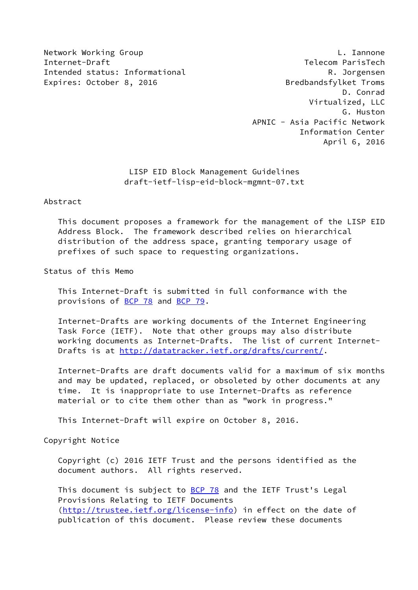Network Working Group **L. Iannone** Internet-Draft Telecom ParisTech Intended status: Informational **R. Jorgensen** Expires: October 8, 2016 **Bredbandsfylket Troms** 

 D. Conrad Virtualized, LLC G. Huston APNIC - Asia Pacific Network Information Center April 6, 2016

> LISP EID Block Management Guidelines draft-ietf-lisp-eid-block-mgmnt-07.txt

### Abstract

 This document proposes a framework for the management of the LISP EID Address Block. The framework described relies on hierarchical distribution of the address space, granting temporary usage of prefixes of such space to requesting organizations.

Status of this Memo

 This Internet-Draft is submitted in full conformance with the provisions of [BCP 78](https://datatracker.ietf.org/doc/pdf/bcp78) and [BCP 79](https://datatracker.ietf.org/doc/pdf/bcp79).

 Internet-Drafts are working documents of the Internet Engineering Task Force (IETF). Note that other groups may also distribute working documents as Internet-Drafts. The list of current Internet- Drafts is at<http://datatracker.ietf.org/drafts/current/>.

 Internet-Drafts are draft documents valid for a maximum of six months and may be updated, replaced, or obsoleted by other documents at any time. It is inappropriate to use Internet-Drafts as reference material or to cite them other than as "work in progress."

This Internet-Draft will expire on October 8, 2016.

Copyright Notice

 Copyright (c) 2016 IETF Trust and the persons identified as the document authors. All rights reserved.

This document is subject to **[BCP 78](https://datatracker.ietf.org/doc/pdf/bcp78)** and the IETF Trust's Legal Provisions Relating to IETF Documents [\(http://trustee.ietf.org/license-info](http://trustee.ietf.org/license-info)) in effect on the date of publication of this document. Please review these documents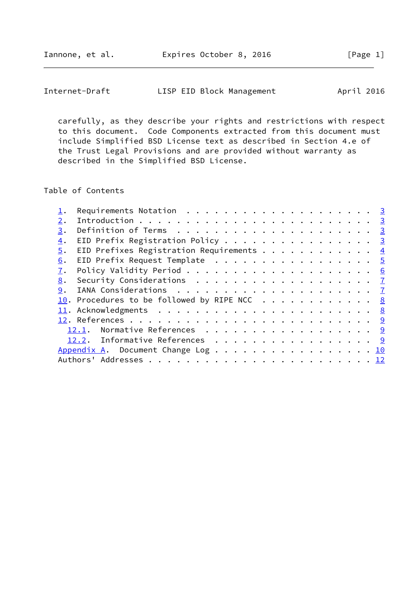| Internet-Draft | LISP EID Block Management | April 2016 |
|----------------|---------------------------|------------|
|----------------|---------------------------|------------|

 carefully, as they describe your rights and restrictions with respect to this document. Code Components extracted from this document must include Simplified BSD License text as described in Section 4.e of the Trust Legal Provisions and are provided without warranty as described in the Simplified BSD License.

Table of Contents

|    | Requirements Notation $\ldots$ 3                     |  |
|----|------------------------------------------------------|--|
| 2. |                                                      |  |
| 3. |                                                      |  |
| 4. | EID Prefix Registration Policy 3                     |  |
| 5. | EID Prefixes Registration Requirements $\frac{4}{5}$ |  |
| 6. | EID Prefix Request Template 5                        |  |
| 7. |                                                      |  |
| 8. |                                                      |  |
| 9. |                                                      |  |
|    | 10. Procedures to be followed by RIPE NCC 8          |  |
|    |                                                      |  |
|    |                                                      |  |
|    | 12.1. Normative References 9                         |  |
|    | 12.2. Informative References 9                       |  |
|    | Appendix A. Document Change Log 10                   |  |
|    |                                                      |  |
|    |                                                      |  |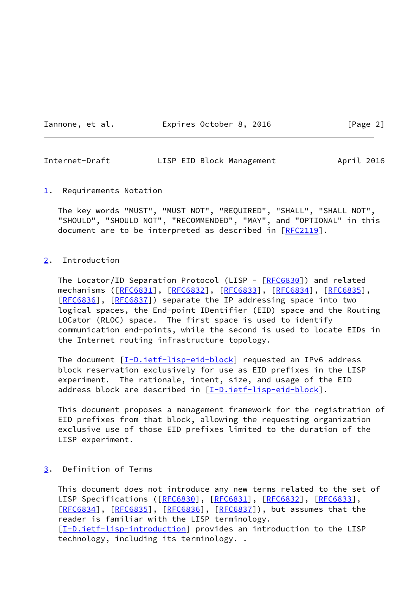Iannone, et al. **Expires October 8, 2016** [Page 2]

<span id="page-2-1"></span>Internet-Draft LISP EID Block Management April 2016

<span id="page-2-0"></span>[1](#page-2-0). Requirements Notation

 The key words "MUST", "MUST NOT", "REQUIRED", "SHALL", "SHALL NOT", "SHOULD", "SHOULD NOT", "RECOMMENDED", "MAY", and "OPTIONAL" in this document are to be interpreted as described in [\[RFC2119](https://datatracker.ietf.org/doc/pdf/rfc2119)].

## <span id="page-2-2"></span>[2](#page-2-2). Introduction

The Locator/ID Separation Protocol (LISP - [[RFC6830\]](https://datatracker.ietf.org/doc/pdf/rfc6830)) and related mechanisms ([\[RFC6831](https://datatracker.ietf.org/doc/pdf/rfc6831)], [\[RFC6832](https://datatracker.ietf.org/doc/pdf/rfc6832)], [[RFC6833](https://datatracker.ietf.org/doc/pdf/rfc6833)], [\[RFC6834](https://datatracker.ietf.org/doc/pdf/rfc6834)], [\[RFC6835](https://datatracker.ietf.org/doc/pdf/rfc6835)], [\[RFC6836](https://datatracker.ietf.org/doc/pdf/rfc6836)], [[RFC6837\]](https://datatracker.ietf.org/doc/pdf/rfc6837)) separate the IP addressing space into two logical spaces, the End-point IDentifier (EID) space and the Routing LOCator (RLOC) space. The first space is used to identify communication end-points, while the second is used to locate EIDs in the Internet routing infrastructure topology.

The document [\[I-D.ietf-lisp-eid-block](#page-9-4)] requested an IPv6 address block reservation exclusively for use as EID prefixes in the LISP experiment. The rationale, intent, size, and usage of the EID address block are described in [\[I-D.ietf-lisp-eid-block](#page-9-4)].

 This document proposes a management framework for the registration of EID prefixes from that block, allowing the requesting organization exclusive use of those EID prefixes limited to the duration of the LISP experiment.

<span id="page-2-3"></span>[3](#page-2-3). Definition of Terms

 This document does not introduce any new terms related to the set of LISP Specifications ([\[RFC6830](https://datatracker.ietf.org/doc/pdf/rfc6830)], [\[RFC6831](https://datatracker.ietf.org/doc/pdf/rfc6831)], [[RFC6832\]](https://datatracker.ietf.org/doc/pdf/rfc6832), [[RFC6833](https://datatracker.ietf.org/doc/pdf/rfc6833)], [\[RFC6834](https://datatracker.ietf.org/doc/pdf/rfc6834)], [[RFC6835\]](https://datatracker.ietf.org/doc/pdf/rfc6835), [[RFC6836](https://datatracker.ietf.org/doc/pdf/rfc6836)], [\[RFC6837](https://datatracker.ietf.org/doc/pdf/rfc6837)]), but assumes that the reader is familiar with the LISP terminology. [\[I-D.ietf-lisp-introduction\]](#page-9-5) provides an introduction to the LISP technology, including its terminology. .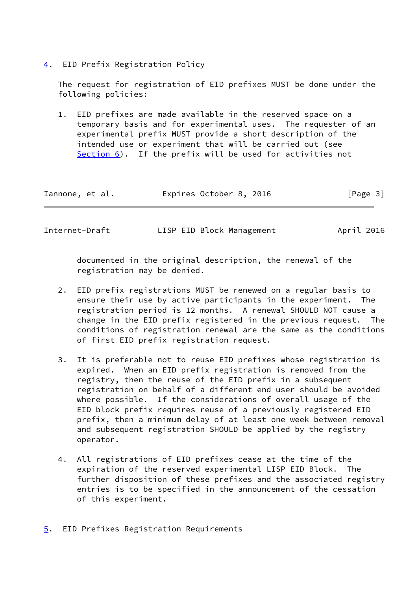<span id="page-3-0"></span>[4](#page-3-0). EID Prefix Registration Policy

 The request for registration of EID prefixes MUST be done under the following policies:

 1. EID prefixes are made available in the reserved space on a temporary basis and for experimental uses. The requester of an experimental prefix MUST provide a short description of the intended use or experiment that will be carried out (see [Section 6\)](#page-4-0). If the prefix will be used for activities not

| Iannone, et al. | Expires October 8, 2016 | [Page 3] |
|-----------------|-------------------------|----------|
|-----------------|-------------------------|----------|

<span id="page-3-2"></span>

| Internet-Draft |  | LISP EID Block Management | April 2016 |
|----------------|--|---------------------------|------------|
|                |  |                           |            |

 documented in the original description, the renewal of the registration may be denied.

- 2. EID prefix registrations MUST be renewed on a regular basis to ensure their use by active participants in the experiment. The registration period is 12 months. A renewal SHOULD NOT cause a change in the EID prefix registered in the previous request. The conditions of registration renewal are the same as the conditions of first EID prefix registration request.
- 3. It is preferable not to reuse EID prefixes whose registration is expired. When an EID prefix registration is removed from the registry, then the reuse of the EID prefix in a subsequent registration on behalf of a different end user should be avoided where possible. If the considerations of overall usage of the EID block prefix requires reuse of a previously registered EID prefix, then a minimum delay of at least one week between removal and subsequent registration SHOULD be applied by the registry operator.
- 4. All registrations of EID prefixes cease at the time of the expiration of the reserved experimental LISP EID Block. The further disposition of these prefixes and the associated registry entries is to be specified in the announcement of the cessation of this experiment.
- <span id="page-3-1"></span>[5](#page-3-1). EID Prefixes Registration Requirements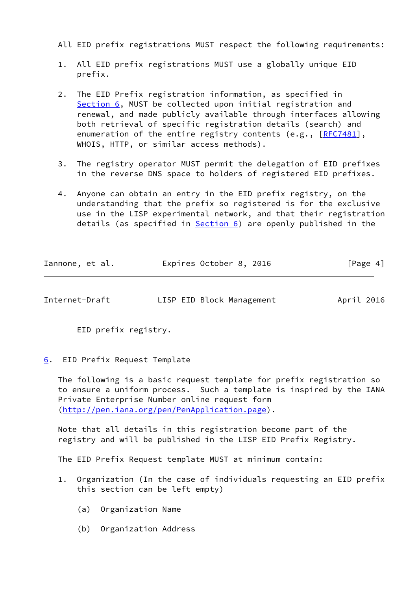All EID prefix registrations MUST respect the following requirements:

- 1. All EID prefix registrations MUST use a globally unique EID prefix.
- 2. The EID Prefix registration information, as specified in [Section 6,](#page-4-0) MUST be collected upon initial registration and renewal, and made publicly available through interfaces allowing both retrieval of specific registration details (search) and enumeration of the entire registry contents (e.g., [\[RFC7481](https://datatracker.ietf.org/doc/pdf/rfc7481)], WHOIS, HTTP, or similar access methods).
- 3. The registry operator MUST permit the delegation of EID prefixes in the reverse DNS space to holders of registered EID prefixes.
- 4. Anyone can obtain an entry in the EID prefix registry, on the understanding that the prefix so registered is for the exclusive use in the LISP experimental network, and that their registration details (as specified in [Section 6](#page-4-0)) are openly published in the

| Iannone, et al. | Expires October 8, 2016 | [Page 4] |
|-----------------|-------------------------|----------|
|-----------------|-------------------------|----------|

<span id="page-4-1"></span>

| Internet-Draft | LISP EID Block Management | April 2016 |  |
|----------------|---------------------------|------------|--|
|                |                           |            |  |

EID prefix registry.

<span id="page-4-0"></span>[6](#page-4-0). EID Prefix Request Template

 The following is a basic request template for prefix registration so to ensure a uniform process. Such a template is inspired by the IANA Private Enterprise Number online request form [\(http://pen.iana.org/pen/PenApplication.page](http://pen.iana.org/pen/PenApplication.page)).

 Note that all details in this registration become part of the registry and will be published in the LISP EID Prefix Registry.

The EID Prefix Request template MUST at minimum contain:

- 1. Organization (In the case of individuals requesting an EID prefix this section can be left empty)
	- (a) Organization Name
	- (b) Organization Address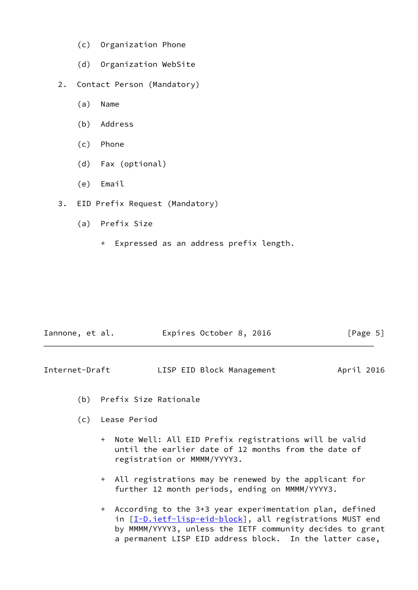- (c) Organization Phone
- (d) Organization WebSite
- 2. Contact Person (Mandatory)
	- (a) Name
	- (b) Address
	- (c) Phone
	- (d) Fax (optional)
	- (e) Email
- 3. EID Prefix Request (Mandatory)
	- (a) Prefix Size
		- + Expressed as an address prefix length.

| Iannone, et al. |  | Expires October 8, 2016 |  | [Page 5] |  |
|-----------------|--|-------------------------|--|----------|--|
|                 |  |                         |  |          |  |

<span id="page-5-0"></span>

| Internet-Draft | LISP EID Block Management | April 2016 |
|----------------|---------------------------|------------|
|----------------|---------------------------|------------|

- (b) Prefix Size Rationale
- (c) Lease Period
	- + Note Well: All EID Prefix registrations will be valid until the earlier date of 12 months from the date of registration or MMMM/YYYY3.
	- + All registrations may be renewed by the applicant for further 12 month periods, ending on MMMM/YYYY3.
	- + According to the 3+3 year experimentation plan, defined in [\[I-D.ietf-lisp-eid-block](#page-9-4)], all registrations MUST end by MMMM/YYYY3, unless the IETF community decides to grant a permanent LISP EID address block. In the latter case,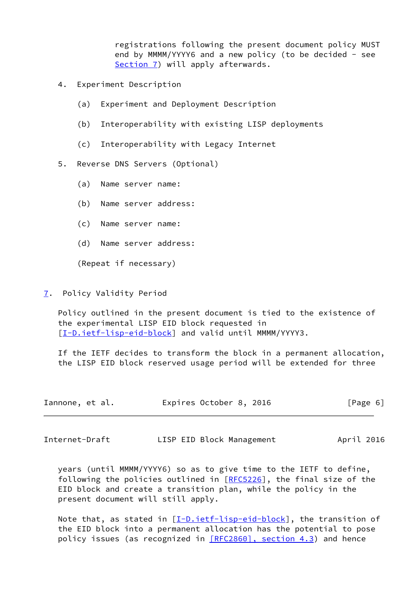registrations following the present document policy MUST end by MMMM/YYYY6 and a new policy (to be decided - see [Section 7\)](#page-6-0) will apply afterwards.

- 4. Experiment Description
	- (a) Experiment and Deployment Description
	- (b) Interoperability with existing LISP deployments
	- (c) Interoperability with Legacy Internet
- 5. Reverse DNS Servers (Optional)
	- (a) Name server name:
	- (b) Name server address:
	- (c) Name server name:
	- (d) Name server address:

(Repeat if necessary)

<span id="page-6-0"></span>[7](#page-6-0). Policy Validity Period

 Policy outlined in the present document is tied to the existence of the experimental LISP EID block requested in [\[I-D.ietf-lisp-eid-block](#page-9-4)] and valid until MMMM/YYYY3.

 If the IETF decides to transform the block in a permanent allocation, the LISP EID block reserved usage period will be extended for three

| Iannone, et al. | Expires October 8, 2016 | [Page 6] |
|-----------------|-------------------------|----------|
|-----------------|-------------------------|----------|

<span id="page-6-1"></span>Internet-Draft LISP EID Block Management April 2016

 years (until MMMM/YYYY6) so as to give time to the IETF to define, following the policies outlined in [[RFC5226\]](https://datatracker.ietf.org/doc/pdf/rfc5226), the final size of the EID block and create a transition plan, while the policy in the present document will still apply.

Note that, as stated in  $[I-D.iett-ligp-eid-block]$ , the transition of the EID block into a permanent allocation has the potential to pose policy issues (as recognized in [\[RFC2860\], section](https://datatracker.ietf.org/doc/pdf/rfc2860#section-4.3) 4.3) and hence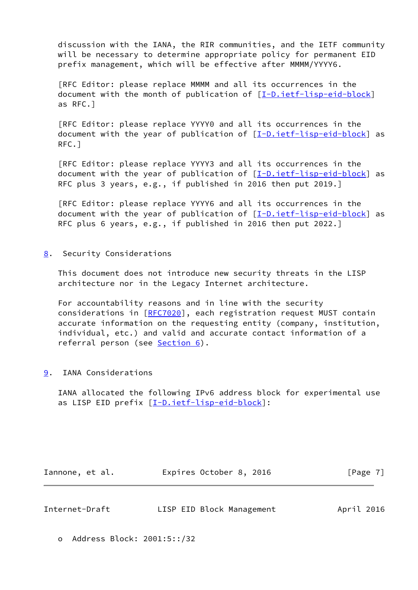discussion with the IANA, the RIR communities, and the IETF community will be necessary to determine appropriate policy for permanent EID prefix management, which will be effective after MMMM/YYYY6.

 [RFC Editor: please replace MMMM and all its occurrences in the document with the month of publication of [[I-D.ietf-lisp-eid-block](#page-9-4)] as RFC.]

 [RFC Editor: please replace YYYY0 and all its occurrences in the document with the year of publication of  $[I-D.iett-ligp-eid-block]$  as RFC.]

 [RFC Editor: please replace YYYY3 and all its occurrences in the document with the year of publication of  $[I-D.iett-ligp-eid-block]$  as RFC plus 3 years, e.g., if published in 2016 then put 2019.]

 [RFC Editor: please replace YYYY6 and all its occurrences in the document with the year of publication of [\[I-D.ietf-lisp-eid-block](#page-9-4)] as RFC plus 6 years, e.g., if published in 2016 then put 2022.]

<span id="page-7-0"></span>[8](#page-7-0). Security Considerations

 This document does not introduce new security threats in the LISP architecture nor in the Legacy Internet architecture.

 For accountability reasons and in line with the security considerations in [[RFC7020](https://datatracker.ietf.org/doc/pdf/rfc7020)], each registration request MUST contain accurate information on the requesting entity (company, institution, individual, etc.) and valid and accurate contact information of a referral person (see [Section 6](#page-4-0)).

<span id="page-7-1"></span>[9](#page-7-1). IANA Considerations

 IANA allocated the following IPv6 address block for experimental use as LISP EID prefix [[I-D.ietf-lisp-eid-block\]](#page-9-4):

Iannone, et al. 
Expires October 8, 2016

[Page 7]

<span id="page-7-2"></span>

| Internet-Draft |  | LISP EID Block Management | April 2016 |  |
|----------------|--|---------------------------|------------|--|
|                |  |                           |            |  |

o Address Block: 2001:5::/32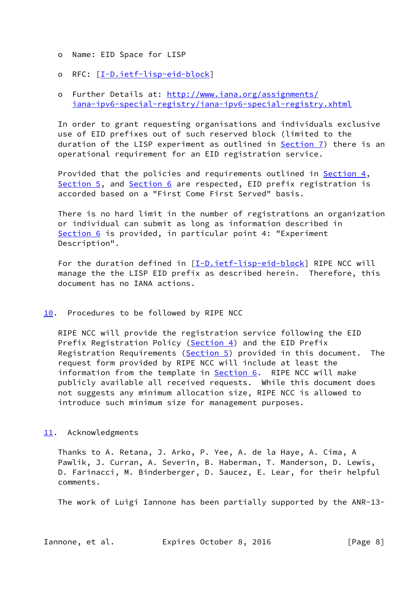- o Name: EID Space for LISP
- o RFC: [\[I-D.ietf-lisp-eid-block](#page-9-4)]

# o Further Details at: [http://www.iana.org/assignments/](http://www.iana.org/assignments/iana-ipv6-special-registry/iana-ipv6-special-registry.xhtml) [iana-ipv6-special-registry/iana-ipv6-special-registry.xhtml](http://www.iana.org/assignments/iana-ipv6-special-registry/iana-ipv6-special-registry.xhtml)

 In order to grant requesting organisations and individuals exclusive use of EID prefixes out of such reserved block (limited to the duration of the LISP experiment as outlined in  $Section 7$ ) there is an operational requirement for an EID registration service.

 Provided that the policies and requirements outlined in [Section 4](#page-3-0), [Section 5](#page-3-1), and [Section 6](#page-4-0) are respected, EID prefix registration is accorded based on a "First Come First Served" basis.

 There is no hard limit in the number of registrations an organization or individual can submit as long as information described in [Section 6](#page-4-0) is provided, in particular point 4: "Experiment Description".

For the duration defined in  $[I-D.ietf-lisp-eid-block]$  $[I-D.ietf-lisp-eid-block]$  RIPE NCC will manage the the LISP EID prefix as described herein. Therefore, this document has no IANA actions.

## <span id="page-8-0"></span>[10.](#page-8-0) Procedures to be followed by RIPE NCC

 RIPE NCC will provide the registration service following the EID Prefix Registration Policy ([Section 4\)](#page-3-0) and the EID Prefix Registration Requirements ([Section 5\)](#page-3-1) provided in this document. The request form provided by RIPE NCC will include at least the information from the template in **Section 6.** RIPE NCC will make publicly available all received requests. While this document does not suggests any minimum allocation size, RIPE NCC is allowed to introduce such minimum size for management purposes.

### <span id="page-8-1"></span>[11.](#page-8-1) Acknowledgments

 Thanks to A. Retana, J. Arko, P. Yee, A. de la Haye, A. Cima, A Pawlik, J. Curran, A. Severin, B. Haberman, T. Manderson, D. Lewis, D. Farinacci, M. Binderberger, D. Saucez, E. Lear, for their helpful comments.

The work of Luigi Iannone has been partially supported by the ANR-13-

Iannone, et al. Expires October 8, 2016 [Page 8]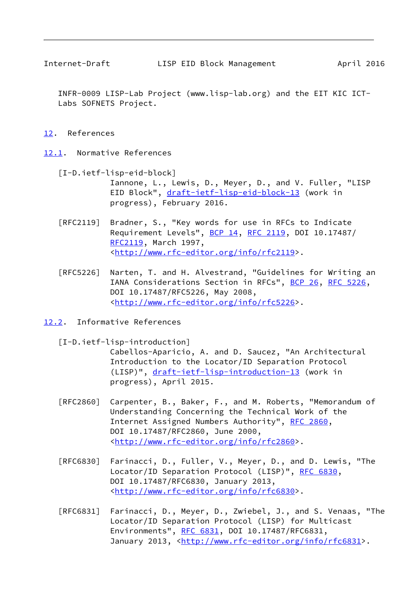<span id="page-9-1"></span>

 INFR-0009 LISP-Lab Project (www.lisp-lab.org) and the EIT KIC ICT- Labs SOFNETS Project.

#### <span id="page-9-0"></span>[12.](#page-9-0) References

<span id="page-9-2"></span>[12.1](#page-9-2). Normative References

- <span id="page-9-4"></span> [I-D.ietf-lisp-eid-block] Iannone, L., Lewis, D., Meyer, D., and V. Fuller, "LISP EID Block", [draft-ietf-lisp-eid-block-13](https://datatracker.ietf.org/doc/pdf/draft-ietf-lisp-eid-block-13) (work in progress), February 2016.
- [RFC2119] Bradner, S., "Key words for use in RFCs to Indicate Requirement Levels", [BCP 14](https://datatracker.ietf.org/doc/pdf/bcp14), [RFC 2119](https://datatracker.ietf.org/doc/pdf/rfc2119), DOI 10.17487/ [RFC2119](https://datatracker.ietf.org/doc/pdf/rfc2119), March 1997, <<http://www.rfc-editor.org/info/rfc2119>>.
- [RFC5226] Narten, T. and H. Alvestrand, "Guidelines for Writing an IANA Considerations Section in RFCs", [BCP 26](https://datatracker.ietf.org/doc/pdf/bcp26), [RFC 5226](https://datatracker.ietf.org/doc/pdf/rfc5226), DOI 10.17487/RFC5226, May 2008, <<http://www.rfc-editor.org/info/rfc5226>>.
- <span id="page-9-3"></span>[12.2](#page-9-3). Informative References

<span id="page-9-5"></span>[I-D.ietf-lisp-introduction]

 Cabellos-Aparicio, A. and D. Saucez, "An Architectural Introduction to the Locator/ID Separation Protocol (LISP)", [draft-ietf-lisp-introduction-13](https://datatracker.ietf.org/doc/pdf/draft-ietf-lisp-introduction-13) (work in progress), April 2015.

- [RFC2860] Carpenter, B., Baker, F., and M. Roberts, "Memorandum of Understanding Concerning the Technical Work of the Internet Assigned Numbers Authority", [RFC 2860](https://datatracker.ietf.org/doc/pdf/rfc2860), DOI 10.17487/RFC2860, June 2000, <<http://www.rfc-editor.org/info/rfc2860>>.
- [RFC6830] Farinacci, D., Fuller, V., Meyer, D., and D. Lewis, "The Locator/ID Separation Protocol (LISP)", [RFC 6830,](https://datatracker.ietf.org/doc/pdf/rfc6830) DOI 10.17487/RFC6830, January 2013, <<http://www.rfc-editor.org/info/rfc6830>>.
- [RFC6831] Farinacci, D., Meyer, D., Zwiebel, J., and S. Venaas, "The Locator/ID Separation Protocol (LISP) for Multicast Environments", [RFC 6831](https://datatracker.ietf.org/doc/pdf/rfc6831), DOI 10.17487/RFC6831, January 2013, [<http://www.rfc-editor.org/info/rfc6831](http://www.rfc-editor.org/info/rfc6831)>.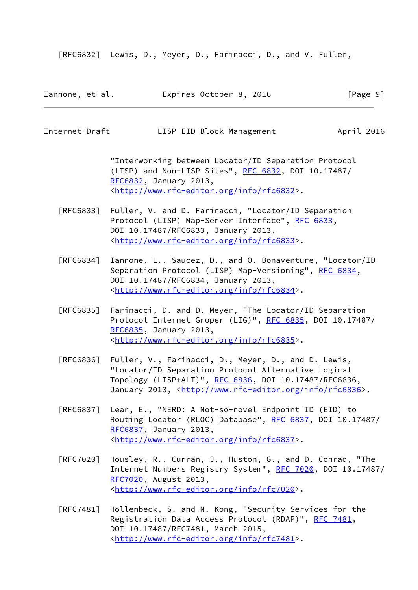[RFC6832] Lewis, D., Meyer, D., Farinacci, D., and V. Fuller,

| Iannone, et al. | Expires October 8, 2016 |  | [Page 9] |
|-----------------|-------------------------|--|----------|
|-----------------|-------------------------|--|----------|

<span id="page-10-0"></span>Internet-Draft LISP EID Block Management April 2016

 "Interworking between Locator/ID Separation Protocol (LISP) and Non-LISP Sites", [RFC 6832,](https://datatracker.ietf.org/doc/pdf/rfc6832) DOI 10.17487/ [RFC6832](https://datatracker.ietf.org/doc/pdf/rfc6832), January 2013, <<http://www.rfc-editor.org/info/rfc6832>>.

- [RFC6833] Fuller, V. and D. Farinacci, "Locator/ID Separation Protocol (LISP) Map-Server Interface", [RFC 6833](https://datatracker.ietf.org/doc/pdf/rfc6833), DOI 10.17487/RFC6833, January 2013, <<http://www.rfc-editor.org/info/rfc6833>>.
- [RFC6834] Iannone, L., Saucez, D., and O. Bonaventure, "Locator/ID Separation Protocol (LISP) Map-Versioning", [RFC 6834,](https://datatracker.ietf.org/doc/pdf/rfc6834) DOI 10.17487/RFC6834, January 2013, <<http://www.rfc-editor.org/info/rfc6834>>.
- [RFC6835] Farinacci, D. and D. Meyer, "The Locator/ID Separation Protocol Internet Groper (LIG)", [RFC 6835,](https://datatracker.ietf.org/doc/pdf/rfc6835) DOI 10.17487/ [RFC6835](https://datatracker.ietf.org/doc/pdf/rfc6835), January 2013, <<http://www.rfc-editor.org/info/rfc6835>>.
- [RFC6836] Fuller, V., Farinacci, D., Meyer, D., and D. Lewis, "Locator/ID Separation Protocol Alternative Logical Topology (LISP+ALT)", [RFC 6836](https://datatracker.ietf.org/doc/pdf/rfc6836), DOI 10.17487/RFC6836, January 2013, [<http://www.rfc-editor.org/info/rfc6836](http://www.rfc-editor.org/info/rfc6836)>.
- [RFC6837] Lear, E., "NERD: A Not-so-novel Endpoint ID (EID) to Routing Locator (RLOC) Database", [RFC 6837](https://datatracker.ietf.org/doc/pdf/rfc6837), DOI 10.17487/ [RFC6837](https://datatracker.ietf.org/doc/pdf/rfc6837), January 2013, <<http://www.rfc-editor.org/info/rfc6837>>.
- [RFC7020] Housley, R., Curran, J., Huston, G., and D. Conrad, "The Internet Numbers Registry System", [RFC 7020](https://datatracker.ietf.org/doc/pdf/rfc7020), DOI 10.17487/ [RFC7020](https://datatracker.ietf.org/doc/pdf/rfc7020), August 2013, <<http://www.rfc-editor.org/info/rfc7020>>.
- [RFC7481] Hollenbeck, S. and N. Kong, "Security Services for the Registration Data Access Protocol (RDAP)", [RFC 7481](https://datatracker.ietf.org/doc/pdf/rfc7481), DOI 10.17487/RFC7481, March 2015, <<http://www.rfc-editor.org/info/rfc7481>>.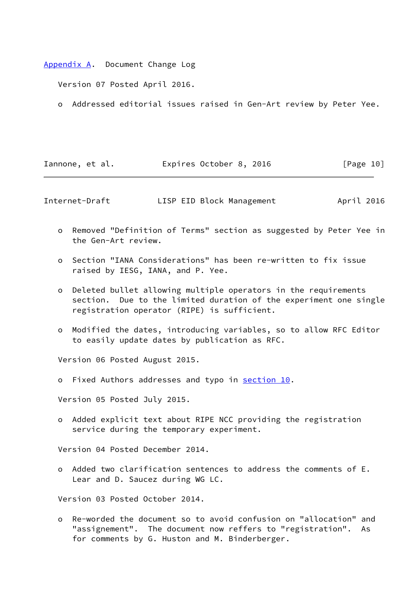<span id="page-11-0"></span>[Appendix A.](#page-11-0) Document Change Log

Version 07 Posted April 2016.

o Addressed editorial issues raised in Gen-Art review by Peter Yee.

| Iannone, et al. | Expires October 8, 2016 | [Page 10] |
|-----------------|-------------------------|-----------|
|-----------------|-------------------------|-----------|

Internet-Draft LISP EID Block Management April 2016

- o Removed "Definition of Terms" section as suggested by Peter Yee in the Gen-Art review.
- o Section "IANA Considerations" has been re-written to fix issue raised by IESG, IANA, and P. Yee.
- o Deleted bullet allowing multiple operators in the requirements section. Due to the limited duration of the experiment one single registration operator (RIPE) is sufficient.
- o Modified the dates, introducing variables, so to allow RFC Editor to easily update dates by publication as RFC.

Version 06 Posted August 2015.

o Fixed Authors addresses and typo in [section 10.](#page-8-0)

Version 05 Posted July 2015.

 o Added explicit text about RIPE NCC providing the registration service during the temporary experiment.

Version 04 Posted December 2014.

 o Added two clarification sentences to address the comments of E. Lear and D. Saucez during WG LC.

Version 03 Posted October 2014.

 o Re-worded the document so to avoid confusion on "allocation" and "assignement". The document now reffers to "registration". As for comments by G. Huston and M. Binderberger.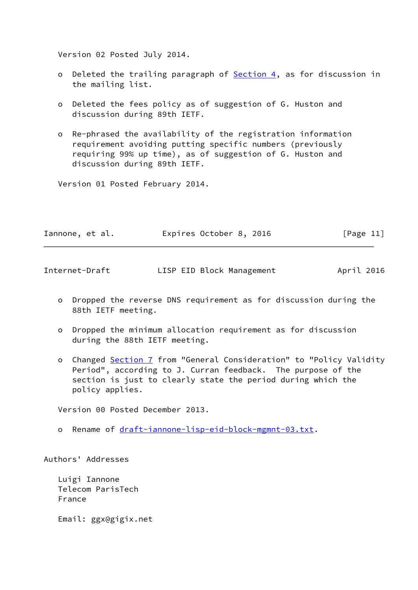Version 02 Posted July 2014.

- o Deleted the trailing paragraph of **Section 4**, as for discussion in the mailing list.
- o Deleted the fees policy as of suggestion of G. Huston and discussion during 89th IETF.
- o Re-phrased the availability of the registration information requirement avoiding putting specific numbers (previously requiring 99% up time), as of suggestion of G. Huston and discussion during 89th IETF.

Version 01 Posted February 2014.

| Iannone, et al. | Expires October 8, 2016 | [Page 11] |
|-----------------|-------------------------|-----------|
|-----------------|-------------------------|-----------|

<span id="page-12-0"></span>

| Internet-Draft |  | LISP EID Block Management | April 2016 |
|----------------|--|---------------------------|------------|
|                |  |                           |            |

- o Dropped the reverse DNS requirement as for discussion during the 88th IETF meeting.
- o Dropped the minimum allocation requirement as for discussion during the 88th IETF meeting.
- o Changed [Section 7](#page-6-0) from "General Consideration" to "Policy Validity Period", according to J. Curran feedback. The purpose of the section is just to clearly state the period during which the policy applies.

Version 00 Posted December 2013.

o Rename of [draft-iannone-lisp-eid-block-mgmnt-03.txt](https://datatracker.ietf.org/doc/pdf/draft-iannone-lisp-eid-block-mgmnt-03.txt).

Authors' Addresses

 Luigi Iannone Telecom ParisTech France

Email: ggx@gigix.net